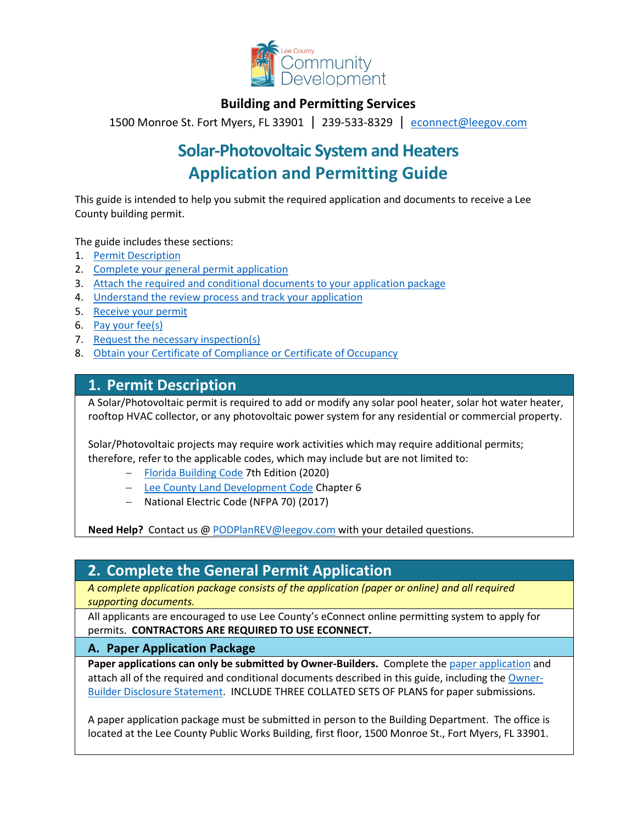

### **Building and Permitting Services**

1500 Monroe St. Fort Myers, FL 33901 | 239-533-8329 |[econnect@leegov.com](mailto:econnect@leegov.com)

# **Solar-Photovoltaic System and Heaters Application and Permitting Guide**

This guide is intended to help you submit the required application and documents to receive a Lee County building permit.

The guide includes these sections:

- 1. [Permit Description](#page-0-0)
- 2. [Complete your general permit application](#page-0-1)
- 3. [Attach the required and conditional documents to your application package](#page-2-0)
- 4. [Understand the review process and track your application](#page-4-0)
- 5. [Receive your permit](#page-5-0)
- 6. [Pay your fee\(s\)](#page-6-0)
- 7. [Request the necessary inspection\(s\)](#page-6-1)
- 8. [Obtain your Certificate of Compliance or Certificate of Occupancy](#page-7-0)

### <span id="page-0-0"></span>**1. Permit Description**

A Solar/Photovoltaic permit is required to add or modify any solar pool heater, solar hot water heater, rooftop HVAC collector, or any photovoltaic power system for any residential or commercial property.

Solar/Photovoltaic projects may require work activities which may require additional permits; therefore, refer to the applicable codes, which may include but are not limited to:

- − [Florida Building Code](https://codes.iccsafe.org/codes/florida) 7th Edition (2020)
- − [Lee County Land Development Code](https://library.municode.com/fl/lee_county/codes/land_development_code?nodeId=LADECOLECOFL) Chapter 6
- − National Electric Code (NFPA 70) (2017)

**Need Help?** Contact us @ [PODPlanREV@leegov.com](mailto:PODPlanREV@leegov.com) with your detailed questions.

## <span id="page-0-1"></span>**2. Complete the General Permit Application**

*A complete application package consists of the application (paper or online) and all required supporting documents.*

All applicants are encouraged to use Lee County's eConnect online permitting system to apply for permits. **CONTRACTORS ARE REQUIRED TO USE ECONNECT.**

#### **A. Paper Application Package**

**Paper applications can only be submitted by Owner-Builders.** Complete the [paper application](https://www.leegov.com/dcd/Documents/BldPermitServ/Apps/TradePermitAppCreditCard.pdf) and attach all of the required and conditional documents described in this guide, including the [Owner-](https://www.leegov.com/dcd/PermittingDocs/OwnerBldrDisclosure.pdf)[Builder Disclosure Statement.](https://www.leegov.com/dcd/PermittingDocs/OwnerBldrDisclosure.pdf) INCLUDE THREE COLLATED SETS OF PLANS for paper submissions.

A paper application package must be submitted in person to the Building Department. The office is located at the Lee County Public Works Building, first floor, 1500 Monroe St., Fort Myers, FL 33901.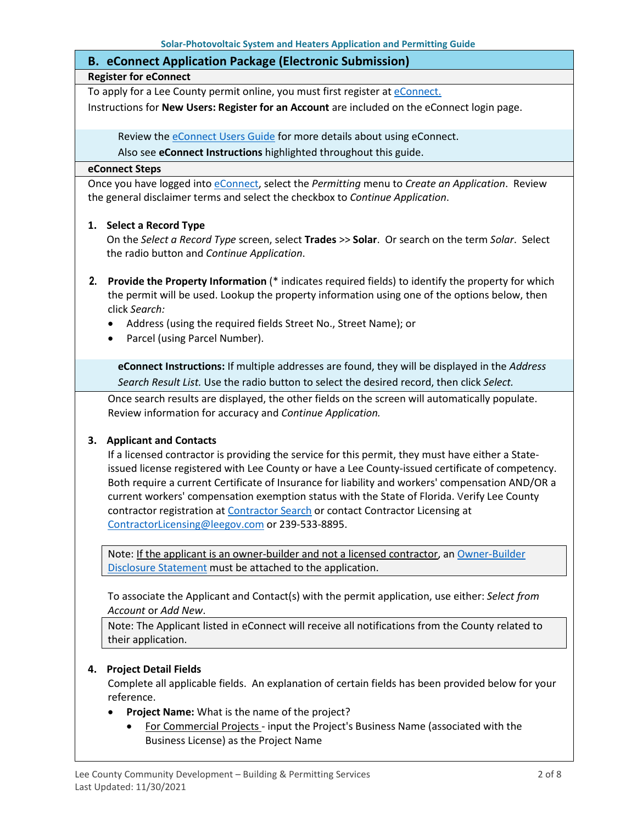| <b>B. eConnect Application Package (Electronic Submission)</b>                               |
|----------------------------------------------------------------------------------------------|
| <b>Register for eConnect</b>                                                                 |
| To apply for a Lee County permit online, you must first register at eConnect.                |
| Instructions for New Users: Register for an Account are included on the eConnect login page. |

Review th[e eConnect Users Guide](https://www.leegov.com/dcd/Documents/eServ/eConnect/eServicesGuide.pdf) for more details about using eConnect.

Also see **eConnect Instructions** highlighted throughout this guide.

#### **eConnect Steps**

Once you have logged into [eConnect,](https://accelaaca.leegov.com/aca/) select the *Permitting* menu to *Create an Application*. Review the general disclaimer terms and select the checkbox to *Continue Application*.

#### **1. Select a Record Type**

On the *Select a Record Type* screen, select **Trades** >> **Solar**. Or search on the term *Solar*. Select the radio button and *Continue Application*.

- **2. Provide the Property Information** (\* indicates required fields) to identify the property for which the permit will be used. Lookup the property information using one of the options below, then click *Search:*
	- Address (using the required fields Street No., Street Name); or
	- Parcel (using Parcel Number).

**eConnect Instructions:** If multiple addresses are found, they will be displayed in the *Address Search Result List.* Use the radio button to select the desired record, then click *Select.*

Once search results are displayed, the other fields on the screen will automatically populate. Review information for accuracy and *Continue Application.*

#### **3. Applicant and Contacts**

If a licensed contractor is providing the service for this permit, they must have either a Stateissued license registered with Lee County or have a Lee County-issued certificate of competency. Both require a current Certificate of Insurance for liability and workers' compensation AND/OR a current workers' compensation exemption status with the State of Florida. Verify Lee County contractor registration at [Contractor Search](https://www.leegov.com/dcd/ContLic/ActCont) or contact Contractor Licensing at [ContractorLicensing@leegov.com](mailto:ContractorLicensing@leegov.com) or 239-533-8895.

Note: If the applicant is an owner-builder and not a licensed contractor, a[n Owner-Builder](https://www.leegov.com/dcd/PermittingDocs/OwnerBldrDisclosure.pdf)  [Disclosure Statement](https://www.leegov.com/dcd/PermittingDocs/OwnerBldrDisclosure.pdf) must be attached to the application.

To associate the Applicant and Contact(s) with the permit application, use either: *Select from Account* or *Add New*.

Note: The Applicant listed in eConnect will receive all notifications from the County related to their application.

#### **4. Project Detail Fields**

Complete all applicable fields. An explanation of certain fields has been provided below for your reference.

- **Project Name:** What is the name of the project?
	- For Commercial Projects input the Project's Business Name (associated with the Business License) as the Project Name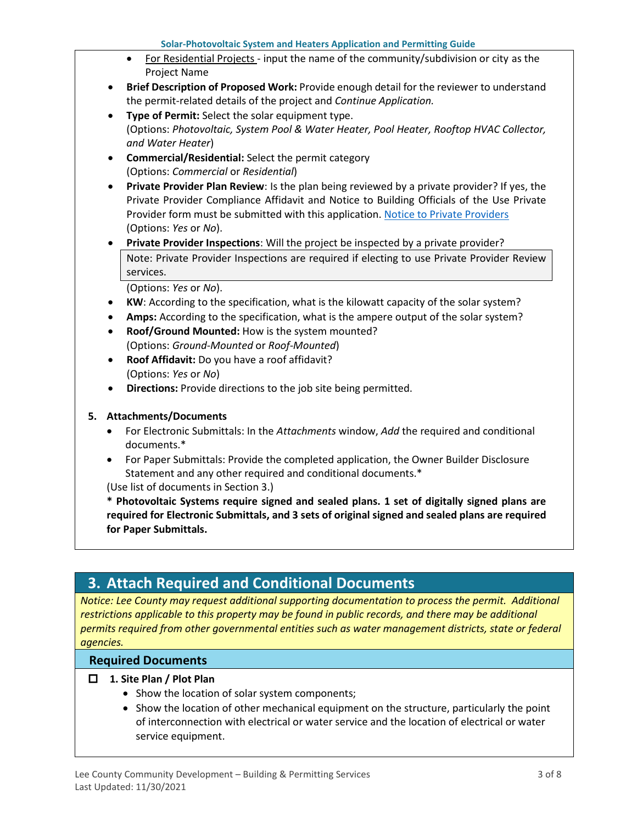- For Residential Projects input the name of the community/subdivision or city as the Project Name
- **Brief Description of Proposed Work:** Provide enough detail for the reviewer to understand the permit-related details of the project and *Continue Application.*
- **Type of Permit:** Select the solar equipment type. (Options: *Photovoltaic, System Pool & Water Heater, Pool Heater, Rooftop HVAC Collector, and Water Heater*)
- **Commercial/Residential:** Select the permit category (Options: *Commercial* or *Residential*)
- **Private Provider Plan Review**: Is the plan being reviewed by a private provider? If yes, the Private Provider Compliance Affidavit and Notice to Building Officials of the Use Private Provider form must be submitted with this application. [Notice to Private Providers](https://www.floridabuilding.org/fbc/committees/Private_Providers/Private_Providers.htm) (Options: *Yes* or *No*).
- **Private Provider Inspections**: Will the project be inspected by a private provider? Note: Private Provider Inspections are required if electing to use Private Provider Review services.

(Options: *Yes* or *No*).

- **KW**: According to the specification, what is the kilowatt capacity of the solar system?
- **Amps:** According to the specification, what is the ampere output of the solar system?
- **Roof/Ground Mounted:** How is the system mounted? (Options: *Ground-Mounted* or *Roof-Mounted*)
- **Roof Affidavit:** Do you have a roof affidavit? (Options: *Yes* or *No*)
- **Directions:** Provide directions to the job site being permitted.

#### **5. Attachments/Documents**

- For Electronic Submittals: In the *Attachments* window, *Add* the required and conditional documents.\*
- For Paper Submittals: Provide the completed application, the Owner Builder Disclosure Statement and any other required and conditional documents.\*

(Use list of documents in Section 3.)

**\* Photovoltaic Systems require signed and sealed plans. 1 set of digitally signed plans are required for Electronic Submittals, and 3 sets of original signed and sealed plans are required for Paper Submittals.**

## <span id="page-2-0"></span>**3. Attach Required and Conditional Documents**

*Notice: Lee County may request additional supporting documentation to process the permit. Additional*  restrictions applicable to this property may be found in public records, and there may be additional *permits required from other governmental entities such as water management districts, state or federal agencies.*

#### **Required Documents**

#### **1. Site Plan / Plot Plan**

- Show the location of solar system components;
- Show the location of other mechanical equipment on the structure, particularly the point of interconnection with electrical or water service and the location of electrical or water service equipment.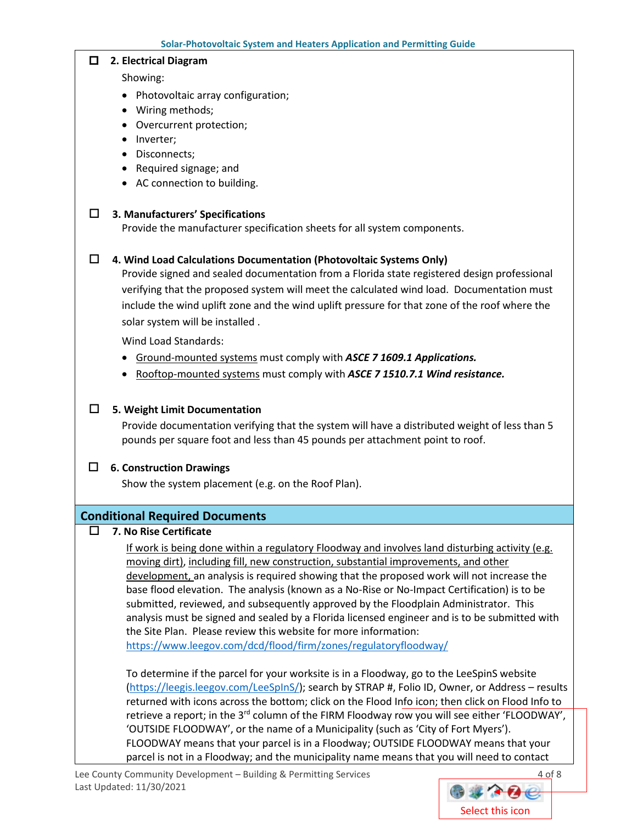#### **2. Electrical Diagram**

Showing:

- Photovoltaic array configuration;
- Wiring methods;
- Overcurrent protection;
- Inverter;
- Disconnects;
- Required signage; and
- AC connection to building.

#### **3. Manufacturers' Specifications**

Provide the manufacturer specification sheets for all system components.

#### **4. Wind Load Calculations Documentation (Photovoltaic Systems Only)**

Provide signed and sealed documentation from a Florida state registered design professional verifying that the proposed system will meet the calculated wind load. Documentation must include the wind uplift zone and the wind uplift pressure for that zone of the roof where the solar system will be installed .

Wind Load Standards:

- Ground-mounted systems must comply with *ASCE 7 1609.1 Applications.*
- Rooftop-mounted systems must comply with *ASCE 7 1510.7.1 Wind resistance.*

#### **5. Weight Limit Documentation**

Provide documentation verifying that the system will have a distributed weight of less than 5 pounds per square foot and less than 45 pounds per attachment point to roof.

#### **6. Construction Drawings**

Show the system placement (e.g. on the Roof Plan).

#### **Conditional Required Documents**

#### **7. No Rise Certificate**

If work is being done within a regulatory Floodway and involves land disturbing activity (e.g. moving dirt), including fill, new construction, substantial improvements, and other development, an analysis is required showing that the proposed work will not increase the base flood elevation. The analysis (known as a No-Rise or No-Impact Certification) is to be submitted, reviewed, and subsequently approved by the Floodplain Administrator. This analysis must be signed and sealed by a Florida licensed engineer and is to be submitted with the Site Plan. Please review this website for more information: <https://www.leegov.com/dcd/flood/firm/zones/regulatoryfloodway/>

To determine if the parcel for your worksite is in a Floodway, go to the LeeSpinS website [\(https://leegis.leegov.com/LeeSpInS/\)](https://leegis.leegov.com/LeeSpInS/); search by STRAP #, Folio ID, Owner, or Address – results returned with icons across the bottom; click on the Flood Info icon; then click on Flood Info to retrieve a report; in the 3<sup>rd</sup> column of the FIRM Floodway row you will see either 'FLOODWAY', 'OUTSIDE FLOODWAY', or the name of a Municipality (such as 'City of Fort Myers'). FLOODWAY means that your parcel is in a Floodway; OUTSIDE FLOODWAY means that your parcel is not in a Floodway; and the municipality name means that you will need to contact

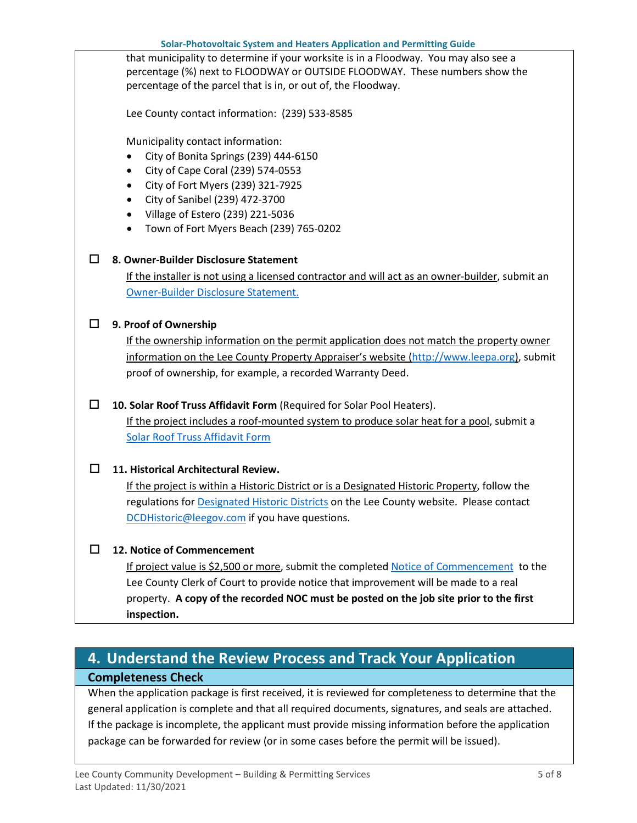**Solar-Photovoltaic System and Heaters Application and Permitting Guide** that municipality to determine if your worksite is in a Floodway. You may also see a percentage (%) next to FLOODWAY or OUTSIDE FLOODWAY. These numbers show the percentage of the parcel that is in, or out of, the Floodway. Lee County contact information: (239) 533-8585 Municipality contact information: • City of Bonita Springs (239) 444-6150 • City of Cape Coral (239) 574-0553 • City of Fort Myers (239) 321-7925 • City of Sanibel (239) 472-3700 • Village of Estero (239) 221-5036 • Town of Fort Myers Beach (239) 765-0202 **8. Owner-Builder Disclosure Statement** If the installer is not using a licensed contractor and will act as an owner-builder, submit an [Owner-Builder Disclosure Statement.](https://www.leegov.com/dcd/PermittingDocs/OwnerBldrDisclosure.pdf) **9. Proof of Ownership** If the ownership information on the permit application does not match the property owner information on the Lee County Property Appraiser's website [\(http://www.leepa.org\)](http://www.leepa.org/), submit proof of ownership, for example, a recorded Warranty Deed. **10. Solar Roof Truss Affidavit Form** (Required for Solar Pool Heaters). If the project includes a roof-mounted system to produce solar heat for a pool, submit a [Solar Roof Truss Affidavit Form](https://www.leegov.com/dcd/PermittingDocs/SolarRoofTrusses.pdf) **11. Historical Architectural Review.**  If the project is within a Historic District or is a Designated Historic Property, follow the regulations for **Designated Historic Districts** on the Lee County website. Please contact [DCDHistoric@leegov.com](mailto:DCDHistoric@leegov.com) if you have questions. **12. Notice of Commencement** If project value is \$2,500 or more, submit the completed [Notice of Commencement](https://www.leegov.com/dcd/PermittingDocs/NoticeofCommencement.pdf) to the Lee County Clerk of Court to provide notice that improvement will be made to a real property. **A copy of the recorded NOC must be posted on the job site prior to the first inspection.**

## <span id="page-4-0"></span>**4. Understand the Review Process and Track Your Application Completeness Check**

When the application package is first received, it is reviewed for completeness to determine that the general application is complete and that all required documents, signatures, and seals are attached. If the package is incomplete, the applicant must provide missing information before the application package can be forwarded for review (or in some cases before the permit will be issued).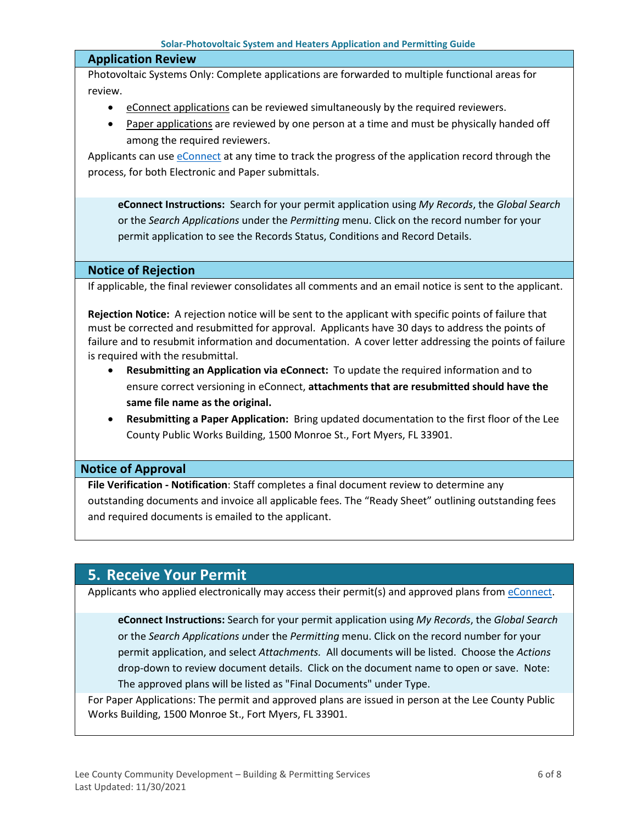#### **Application Review**

Photovoltaic Systems Only: Complete applications are forwarded to multiple functional areas for review.

- eConnect applications can be reviewed simultaneously by the required reviewers.
- Paper applications are reviewed by one person at a time and must be physically handed off among the required reviewers.

Applicants can use [eConnect](https://accelaaca.leegov.com/aca/) at any time to track the progress of the application record through the process, for both Electronic and Paper submittals.

**eConnect Instructions:** Search for your permit application using *My Records*, the *Global Search* or the *Search Applications* under the *Permitting* menu. Click on the record number for your permit application to see the Records Status, Conditions and Record Details.

#### **Notice of Rejection**

If applicable, the final reviewer consolidates all comments and an email notice is sent to the applicant.

**Rejection Notice:** A rejection notice will be sent to the applicant with specific points of failure that must be corrected and resubmitted for approval. Applicants have 30 days to address the points of failure and to resubmit information and documentation. A cover letter addressing the points of failure is required with the resubmittal.

- **Resubmitting an Application via eConnect:** To update the required information and to ensure correct versioning in eConnect, **attachments that are resubmitted should have the same file name as the original.**
- **Resubmitting a Paper Application:** Bring updated documentation to the first floor of the Lee County Public Works Building, 1500 Monroe St., Fort Myers, FL 33901.

#### **Notice of Approval**

**File Verification - Notification**: Staff completes a final document review to determine any outstanding documents and invoice all applicable fees. The "Ready Sheet" outlining outstanding fees and required documents is emailed to the applicant.

## <span id="page-5-0"></span>**5. Receive Your Permit**

Applicants who applied electronically may access their permit(s) and approved plans from [eConnect.](https://accelaaca.leegov.com/aca/)

**eConnect Instructions:** Search for your permit application using *My Records*, the *Global Search* or the *Search Applications u*nder the *Permitting* menu. Click on the record number for your permit application, and select *Attachments.* All documents will be listed. Choose the *Actions*  drop-down to review document details. Click on the document name to open or save. Note: The approved plans will be listed as "Final Documents" under Type.

For Paper Applications: The permit and approved plans are issued in person at the Lee County Public Works Building, 1500 Monroe St., Fort Myers, FL 33901.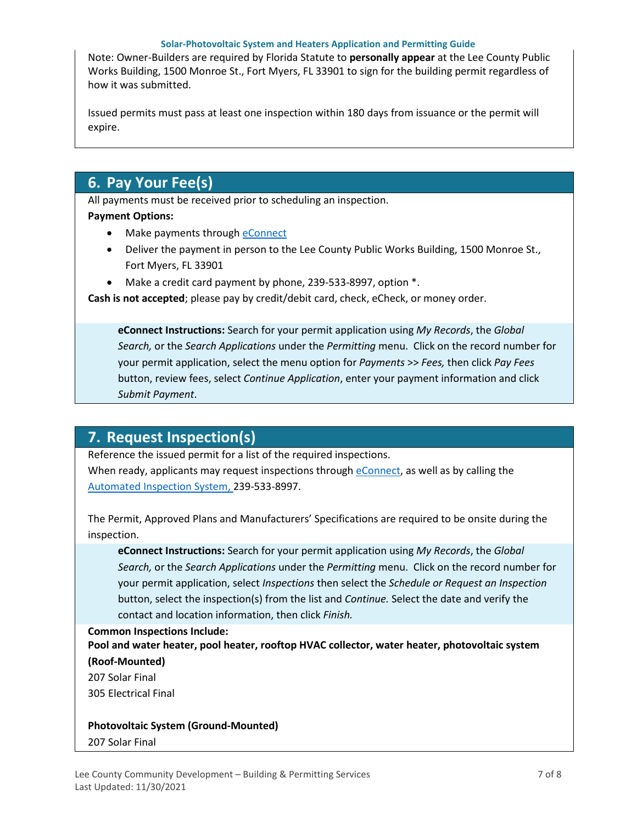#### **Solar-Photovoltaic System and Heaters Application and Permitting Guide**

Note: Owner-Builders are required by Florida Statute to **personally appear** at the Lee County Public Works Building, 1500 Monroe St., Fort Myers, FL 33901 to sign for the building permit regardless of how it was submitted.

Issued permits must pass at least one inspection within 180 days from issuance or the permit will expire.

### <span id="page-6-0"></span>**6. Pay Your Fee(s)**

All payments must be received prior to scheduling an inspection. **Payment Options:**

- Make payments through **eConnect**
- Deliver the payment in person to the Lee County Public Works Building, 1500 Monroe St., Fort Myers, FL 33901
- Make a credit card payment by phone, 239-533-8997, option \*.

**Cash is not accepted**; please pay by credit/debit card, check, eCheck, or money order.

**eConnect Instructions:** Search for your permit application using *My Records*, the *Global Search,* or the *Search Applications* under the *Permitting* menu. Click on the record number for your permit application, select the menu option for *Payments* >> *Fees,* then click *Pay Fees* button, review fees, select *Continue Application*, enter your payment information and click *Submit Payment*.

## <span id="page-6-1"></span>**7. Request Inspection(s)**

Reference the issued permit for a list of the required inspections.

When ready, applicants may request inspections through [eConnect,](https://accelaaca.leegov.com/aca/) as well as by calling the [Automated Inspection System,](https://www.leegov.com/dcd/BldPermitServ/Insp/AutoInsp) 239-533-8997.

The Permit, Approved Plans and Manufacturers' Specifications are required to be onsite during the inspection.

**eConnect Instructions:** Search for your permit application using *My Records*, the *Global Search,* or the *Search Applications* under the *Permitting* menu. Click on the record number for your permit application, select *Inspections* then select the *Schedule or Request an Inspection* button, select the inspection(s) from the list and *Continue.* Select the date and verify the contact and location information, then click *Finish.*

#### **Common Inspections Include:**

**Pool and water heater, pool heater, rooftop HVAC collector, water heater, photovoltaic system (Roof-Mounted)**

207 Solar Final

305 Electrical Final

#### **Photovoltaic System (Ground-Mounted)**

207 Solar Final